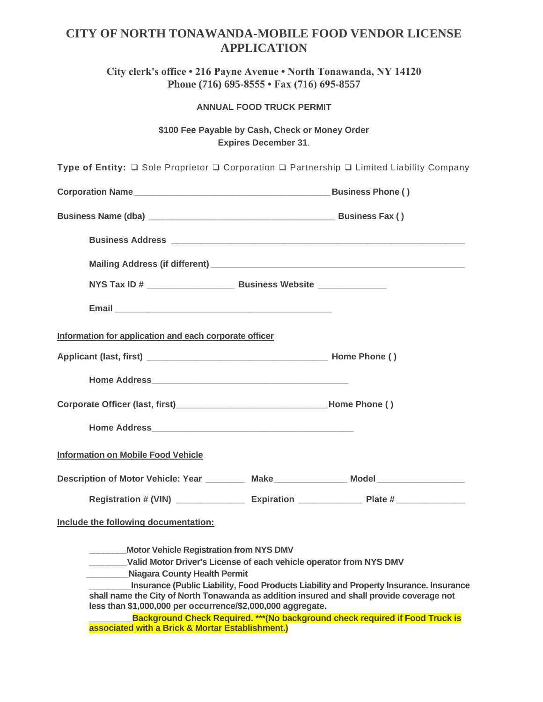## **CITY OF NORTH TONAWANDA-MOBILE FOOD VENDOR LICENSE APPLICATION**

**City clerk's office • 216 Payne Avenue • North Tonawanda, NY 14120 Phone (716) 695-8555 • Fax (716) 695-8557**

**ANNUAL FOOD TRUCK PERMIT** 

**\$100 Fee Payable by Cash, Check or Money Order Expires December 31**.

| Type of Entity: $\square$ Sole Proprietor $\square$ Corporation $\square$ Partnership $\square$ Limited Liability Company                                |                                                                                        |
|----------------------------------------------------------------------------------------------------------------------------------------------------------|----------------------------------------------------------------------------------------|
|                                                                                                                                                          |                                                                                        |
|                                                                                                                                                          |                                                                                        |
|                                                                                                                                                          |                                                                                        |
|                                                                                                                                                          |                                                                                        |
|                                                                                                                                                          |                                                                                        |
|                                                                                                                                                          |                                                                                        |
| Information for application and each corporate officer                                                                                                   |                                                                                        |
|                                                                                                                                                          |                                                                                        |
|                                                                                                                                                          |                                                                                        |
|                                                                                                                                                          |                                                                                        |
|                                                                                                                                                          |                                                                                        |
| Information on Mobile Food Vehicle                                                                                                                       |                                                                                        |
| Description of Motor Vehicle: Year __________ Make______________ Model ________________                                                                  |                                                                                        |
|                                                                                                                                                          |                                                                                        |
| Include the following documentation:                                                                                                                     |                                                                                        |
| Motor Vehicle Registration from NYS DMV                                                                                                                  |                                                                                        |
| Valid Motor Driver's License of each vehicle operator from NYS DMV                                                                                       |                                                                                        |
| <b>Niagara County Health Permit</b>                                                                                                                      |                                                                                        |
| shall name the City of North Tonawanda as addition insured and shall provide coverage not<br>less than \$1,000,000 per occurrence/\$2,000,000 aggregate. | Insurance (Public Liability, Food Products Liability and Property Insurance. Insurance |
| associated with a Brick & Mortar Establishment.)                                                                                                         | Background Check Required. *** (No background check required if Food Truck is          |